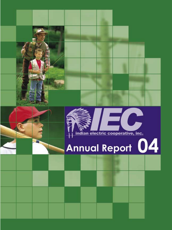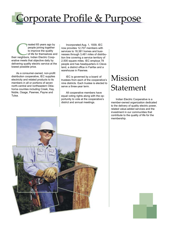## Corporate Profile & Purpose

reated 65 years ago by<br>
people joining together<br>
to improve the quality<br>
of life for themselves an<br>
their neighbors, Indian Electric Cooppeople joining together to improve the quality of life for themselves and erative meets that objective daily by delivering quality electric service at the lowest possible price.

As a consumer-owned, non-profit distribution cooperative, IEC supplies electricity and related products to its members in all or portions of seven north-central and northeastern Oklahoma counties including Creek, Kay, Noble, Osage, Pawnee, Payne and Tulsa.

Incorporated Aug. 1, 1939, IEC now provides 12,707 members with services to 18,381 homes and businesses through 3,481 miles of distribution line covering a service territory of 2,500 square miles. IEC employs 78 people and has headquarters in Cleveland, a district office in Fairfax and a warehouse in Pawnee.

IEC is governed by a board of trustees from each of the cooperative's nine districts. Each trustee is elected to serve a three-year term.

All cooperative members have equal voting rights along with the opportunity to vote at the cooperative's district and annual meetings.

### Mission Statement

Indian Electric Cooperative is a member-owned organization dedicated to the delivery of quality electric power, related value-added services and the investment in our communities that contribute to the quality of life for the membership.



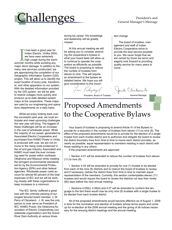# <u>hallenges</u>

### President's and General Manager's Message

I has been a good year for<br>Indian Electric. Unlike 2004<br>we have seen extremely<br>high usage during the warn<br>summer months while avoiding any t has been a good year for Indian Electric. Unlike 2004, we have seen extremely high usage during the warm major storm damage. In addition to the many new services constructed, we are approaching the completion of our Geographic Information System (GIS) project. This will allow us to identify the exact location of every pole, transformer, and other apparatus on our system. With the detailed information provided by the GIS system, we will be able to restore outages more quickly and produce up-to-date detailed system maps at the cooperative. These maps are used by our engineering and operations departments on a daily basis.

While we enjoy looking back over the successful past year, we must anticipate and meet upcoming challenges the new year will bring. The biggest of these challenges will be an increase in the cost of wholesale power. While the majority of our power, generated by Associated Electric Cooperative and purchased from KAMO Power in Vinita, is produced with coal, we are not immune to the rising costs evidenced in the oil and gas industry. Associated and KAMO must meet the ever increasing need for power within northeast Oklahoma and Missouri while meeting the stringent environmental standards set for by the Environmental Protection Agency (EPA) and other federal agencies. Wholesale power costs account for almost 60 percent of the total expenses of IEC and we will be working closely with these organizations to keep increases to a minimum.

The IEC 'family' suffered a great loss with the untimely passing of our longest tenured board member, J. W. Perry of Cleveland. J. W. was the only person to ever serve as President of IEC, KAMO Power, the Oklahoma Association of Electric Cooperatives (our statewide organization) and the Grand River Dam Authority at various times

during his career. His knowledge and leadership will be greatly missed.

At this annual meeting we will be asking you to consider amending the cooperative's bylaws in what your board feels will allow us to continue to operate the cooperative as efficiently as possible. The board is proposing to reduce the number of trustees from eleven to nine. This will require an amendment to the bylaws as detailed below. We hope you will give consideration to this impor-

Jain Vickey any

tant change.

The board of trustees, management and staff of Indian Electric Cooperative strive to provide the best service possible to you. We never forget that we are owned by those we serve and eagerly look forward to providing quality service for many years to come.

linhscole

President, Board of Trustees General Manager

### Proposed Amendments to the Cooperative Bylaws

Your board of trustees is proposing to amend Article IV of the Bylaws to provide for a reduction in the number of trustees from eleven (11) to nine (9). The effect of the proposed amendments would be to provide for the election of a single trustee from each trustee district and to authorize and obligate the board to review the district boundary lines from time to time to insure each district provides, as nearly as possible, equal representation to members residing in each district with those residing in any others.

If the proposed amendments are approved:

• Section 4.01 will be amended to reduce the number of trustees from eleven (11) to nine (9).

• Section 4.04 will be amended to provide for one (1) trustee to be elected from each of the nine (9) districts and to instruct the board of trustees to review, and if necessary, redraw the district lines from time to time to maintain equal representation of the members. Currently, this section contemplates eleven (11) trustees and would require the board to review the districts not less than ninety (90) days before the next annual meeting.

• Sections 4.05(b), 4.06(d) and 4.07 will be amended to conform the language to the fact there would now be only nine (9) trustees with a single trustee to be elected from each trustee district.

All of the proposed amendments would become effective as of August 1, 2006 in time for the nomination and election of trustees whose terms expire and come up for re-election at the 2006 annual meeting and the giving of all notices necessary for the ensuing district meetings and the annual meeting.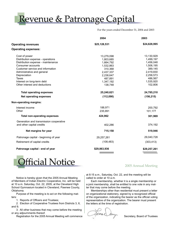<u> Revenue & Patronage Capital</u>

For the years ended December 31, 2004 and 2003

|                                         | 2004         | 2003         |  |
|-----------------------------------------|--------------|--------------|--|
| <b>Operating revenues</b>               | \$25,128,531 | \$24,628,995 |  |
| <b>Operating expenses:</b>              |              |              |  |
| Cost of power                           | 13,279,098   | 13,130,929   |  |
| Distribution expense - operations       | 1,803,685    | 1,499,197    |  |
| Distribution expense - maintenance      | 1,664,792    | 1,456,048    |  |
| Consumer accounts                       | 1,532,863    | 1,506,195    |  |
| Customer service and information        | 310,368      | 389,145      |  |
| Administrative and general              | 2,437,337    | 2,419,830    |  |
| Depreciation                            | 2,238,647    | 2,258,573    |  |
| <b>Taxes</b>                            | 487,891      | 486,567      |  |
| Interest on long-term debt              | 1,347,192    | 1,535,920    |  |
| Other interest and deductions           | 138,748      | 102,806      |  |
| <b>Total operating expenses</b>         | 25,240,621   | 24,785,210   |  |
| <b>Net operating expenses</b>           | (112,090)    | (156, 215)   |  |
| Non-operating margins:                  |              |              |  |
| Interest income                         | 188,971      | 200,792      |  |
| Other                                   | 235,991      | 101,177      |  |
| <b>Total non-operating expenses</b>     | 424,962      | 301,969      |  |
| Generation and transmission cooperative |              |              |  |
| and other capital credits               | 402,286      | 374,192      |  |
| Net margins for year                    | 715,158      | 519,946      |  |
| Patronage capital - beginning of year   | 29,257,261   | 29,040,728   |  |
| Retirement of capital credits           | (108, 483)   | (303, 413)   |  |
| Patronage capital - end of year         | \$29,863,936 | \$29,257,261 |  |
|                                         |              |              |  |



2005 Annual Meeting

Notice is hereby given that the 2005 Annual Meeting of Members of Indian Electric Cooperative, Inc. will be held at 10 a.m. Saturday, Oct. 22, 2005, at the Cleveland High School Gymnasium located in Cleveland, Pawnee County, Oklahoma.

Purpose of the meeting is to act on the following matters:

1. Reports of Officers and Trustees;

2. Election of Cooperative Trustees from Districts 3, 6, and 9;

3. All other business that may come before the meeting or any adjournments thereof.

Registration for the 2005 Annual Meeting will commence

at 8:15 a.m., Saturday, Oct. 22, and the meeting will be called to order at 10 a.m.

Each membership, whether it is a single membership or a joint membership, shall be entitled to one vote in any matter that may come before the meeting.

Memberships other than residential must present a letter on organizational stationery, signed by a recognized official of the organization, indicating the bearer as the official voting representative of the organization. The bearer must present the letters at the time of registration.

Secretary, Board of Trustees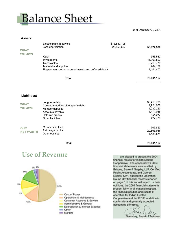## **Balance Sheet**

as of December 31, 2004

#### **Assets:**

|                     | Electric plant in service<br>Less depreciation        | \$78,580,195<br>25,555,657 | 53,024,538 |
|---------------------|-------------------------------------------------------|----------------------------|------------|
| <b>WHAT</b>         |                                                       |                            |            |
| <b>WE OWN</b>       |                                                       |                            |            |
|                     | Cash                                                  |                            | 553,532    |
|                     | Investments                                           |                            | 11,963,803 |
|                     | Receivables                                           |                            | 3,713,779  |
|                     | Material and supplies                                 |                            | 264,102    |
|                     | Prepayments, other accrued assets and deferred debits |                            | 1,141,403  |
|                     | <b>Total</b>                                          |                            | 70,661,157 |
|                     |                                                       |                            |            |
| <b>Liabilities:</b> |                                                       |                            |            |

| <b>WHAT</b><br><b>WE OWE</b>   | Long term debt<br>Current maturities of long term debt<br>Member deposits<br>Accounts payable<br>Deferred credits<br>Other liabilities | 33,410,739<br>1,921,000<br>1,282,260<br>1,471,045<br>154,977<br>427,779 |
|--------------------------------|----------------------------------------------------------------------------------------------------------------------------------------|-------------------------------------------------------------------------|
| <b>OUR</b><br><b>NET WORTH</b> | Membership fees<br>Patronage capital<br>Other equities                                                                                 | 707,850<br>29,863,936<br>1,421,571                                      |

**Total 70,661,157**

### **Use of Revenue**



I am pleased to present the 2004 financial results for Indian Electric Cooperative. The cooperative's 2004 financial statements were audited by Briscoe, Burke & Grigsby, LLP, Certified Public Accountants, and George Nobles, CPA, audited the Operation Round Up<sup>®</sup> financial records reported on page 6 of this annual report. In their opinions, the 2004 financial statements present fairly, in all material respects, the financial position and results of operation for Indian Electric Cooperative and the IEC Foundation in conformity and generally accepted accounting principles.

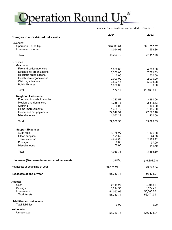# Operation Round Up®

Financial Statements for years ended December 31

|                                                             | 2004                 | 2003               |
|-------------------------------------------------------------|----------------------|--------------------|
| <b>Changes in unrestricted net assets:</b>                  |                      |                    |
| Revenues:                                                   |                      |                    |
| <b>Operation Round Up</b>                                   | \$40,111.81          | \$41,557.87        |
| Investment income                                           | 1,094.98             | 1,559.86           |
| Total                                                       | 41,206.79            | 42, 117.73         |
| Expenses:                                                   |                      |                    |
| <b>Grants to:</b>                                           |                      |                    |
| Fire and police agencies                                    | 1,050.00             | 4,900.00           |
| <b>Educational organizations</b><br>Religious organizations | 3,300.00             | 7,771.83           |
| Health care organizations                                   | 0.00<br>2,000.00     | 500.00<br>2,000.00 |
| Civic organizations                                         | 2,822.17             | 5,293.98           |
| <b>Public libraries</b>                                     | 1,000.00             | 0.00               |
| Total                                                       | 10,172.17            | 20,465.81          |
| <b>Neighbor Assistance:</b>                                 |                      |                    |
| Food and household staples                                  | 1,223.57             | 3,880.06           |
| Medical and dental care                                     | 1,265.73             | 2,812.43           |
| Clothing                                                    | 0.00                 | 100.00             |
| Home improvements                                           | 1,459.72             | 1,185.00           |
| House and car payments<br>Miscellaneous                     | 22,047.34            | 27,522.16          |
|                                                             | 1,062.22             | 400.00             |
| Total                                                       | 27,058.58            | 35,899.65          |
| <b>Support Expenses:</b>                                    |                      |                    |
| Audit fees                                                  | 1,175.00             | 1,175.00           |
| Office supplies                                             | 104.50               | 24.38              |
| Travel expense                                              | 2,690.26             | 2,178.72           |
| Postage                                                     | 0.00                 | 37.00              |
| Miscellaneous                                               | 100.00               | 141.70             |
| Total                                                       | 4,069.31             | 3,556.80           |
| Increase (Decrease) in unrestricted net assets              | (93.27)              | (16, 804.53)       |
| Net assets at beginning of year                             | 56,474.01            | 73,278.54          |
| Net assets at end of year                                   | 56,380.74            | 56,474.01          |
|                                                             |                      |                    |
| Assets:<br>Cash                                             |                      | 3,301.52           |
| Savings                                                     | 2,113.27<br>3,214.55 | 3,172.49           |
| Investments                                                 | 51,052.92            | 50,000.00          |
| <b>Total Assets</b>                                         | 56,380.74            | 56,474.01          |
| <b>Liabilities and net assets:</b>                          |                      |                    |
| <b>Total liabilities</b>                                    | 0.00                 | 0.00               |
| <b>Net assets:</b>                                          |                      |                    |
| Unrestricted                                                | 56,380.74            | \$56,474.01        |
|                                                             |                      |                    |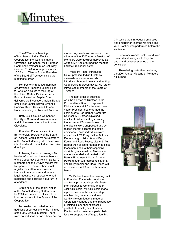## <u>inutes</u>

The 65<sup>th</sup> Annual Meeting of Members of Indian Electric Cooperative, Inc. was held at the Cleveland High School Multi-Purpose Room and Gymnasium on Saturday, October 23, 2004. At approximately 10:00 a.m., Wanda Foster, President of the Board of Trustees, called the meeting to order.

Ms. Foster introduced members of Cleveland American Legion Post #3 who led a salute to the Flag of the United States. Dr. Gene Perry, Pastor of Westport Baptist Church, delivered the invocation. Indian Electric employees Janice Brown, Amanda Ramsay, Karen Davis and Teresa Robertson sang the National Anthem.

Betty Buck, Councilwoman for the City of Cleveland, was introduced and, in turn welcomed all visitors to Cleveland.

President Foster advised that Berry Keeler, Secretary of the Board of Trustees, would serve as Secretary of the Annual Meeting. Mr. Keeler was introduced and conducted several prize drawings.

Following the prize drawings, Mr. Keeler informed that the membership of the Cooperative currently has 12,707 members and the Bylaws require that five-percent of the members must register their attendance in order to constitute a quorum and have a legal meeting. He reported 649 had registered and declared a quorum in attendance.

A true copy of the official Notice of the Annual Meeting of Members for 2004 was mailed to all members in accordance with the Bylaws of the Cooperative.

Mr. Keeler then called for any additions or corrections to the minutes of the 2003 Annual Meeting. There were no additions or corrections and on

motion duly made and seconded, the minutes of the 2003 Annual Meeting of Members were declared approved as written. Mr. Keeler turned the meeting back to President Foster.

President Foster introduced Mike Spradling, Indian Electric's statewide representative, who introduced honored guests and visiting Cooperative representatives. He further introduced members of the Board of Trustees.

The next order of business was the election of Trustees to the Cooperative's Board to represent Districts 3, 6 and 9 for the next three years. President Foster turned the chair over to Ron Barber, Corporate Counsel. Mr. Barber explained results of district meetings, stating the incumbent Trustees in each of the districts were unopposed and by reason thereof became the official nominees. Those individuals were named as J. W. Perry, district 3; Loris Peckenpaugh, district 6; and Berry Keeler and Rock Reese, district 9. Mr. Barber then called for a motion to elect those nominees to their respective districts by acclamation. Motion was made, seconded and carried. J. W. Perry will represent district 3, Loris Peckenpaugh will represent district 6, and Berry Keeler and Rock Reese will represent district 9, all for three-year terms.

Mr. Barber turned the meeting back to President Foster who conducted additional prize drawings. Ms. Foster then introduced General Manager Jack Clinkscale. Mr. Clinkscale made a presentation to the membership, emphasizing the many and very worthwhile contributions made by Operation Roundup and the importance of joining. He further expressed gratitude to employees of Indian Electric and to members, particularly for their support in self regulation. Mr.

Clinkscale then introduced employee and entertainer Thomas Martinez and Wild Frontier who performed before the audience.

Secretary Wanda Foster conducted more prize drawings with bicycles and grand prizes presented at the conclusion.

There being no further business, the 2004 Annual Meeting of Members adjourned.